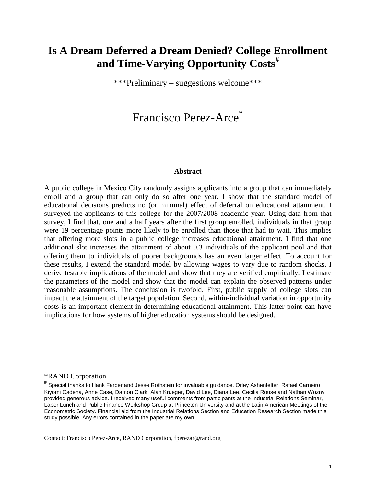# **Is A Dream Deferred a Dream Denied? College Enrollment and Time-Varying Opportunity Costs[#](#page-0-0)**

\*\*\*Preliminary – suggestions welcome\*\*\*

# Francisco Perez-Arce<sup>\*</sup>

### **Abstract**

A public college in Mexico City randomly assigns applicants into a group that can immediately enroll and a group that can only do so after one year. I show that the standard model of educational decisions predicts no (or minimal) effect of deferral on educational attainment. I surveyed the applicants to this college for the 2007/2008 academic year. Using data from that survey, I find that, one and a half years after the first group enrolled, individuals in that group were 19 percentage points more likely to be enrolled than those that had to wait. This implies that offering more slots in a public college increases educational attainment. I find that one additional slot increases the attainment of about 0.3 individuals of the applicant pool and that offering them to individuals of poorer backgrounds has an even larger effect. To account for these results, I extend the standard model by allowing wages to vary due to random shocks. I derive testable implications of the model and show that they are verified empirically. I estimate the parameters of the model and show that the model can explain the observed patterns under reasonable assumptions. The conclusion is twofold. First, public supply of college slots can impact the attainment of the target population. Second, within-individual variation in opportunity costs is an important element in determining educational attainment. This latter point can have implications for how systems of higher education systems should be designed.

### <span id="page-0-0"></span>\*RAND Corporation

# Special thanks to Hank Farber and Jesse Rothstein for invaluable guidance. Orley Ashenfelter, Rafael Carneiro, Kiyomi Cadena, Anne Case, Damon Clark, Alan Krueger, David Lee, Diana Lee, Cecilia Rouse and Nathan Wozny provided generous advice. I received many useful comments from participants at the Industrial Relations Seminar, Labor Lunch and Public Finance Workshop Group at Princeton University and at the Latin American Meetings of the Econometric Society. Financial aid from the Industrial Relations Section and Education Research Section made this study possible. Any errors contained in the paper are my own.

Contact: Francisco Perez-Arce, RAND Corporation, fperezar@rand.org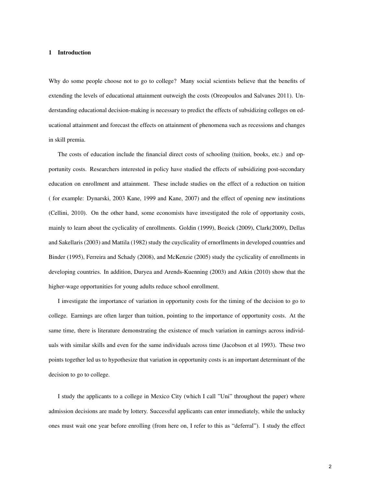#### 1 Introduction

Why do some people choose not to go to college? Many social scientists believe that the benefits of extending the levels of educational attainment outweigh the costs (Oreopoulos and Salvanes 2011). Understanding educational decision-making is necessary to predict the effects of subsidizing colleges on educational attainment and forecast the effects on attainment of phenomena such as recessions and changes in skill premia.

The costs of education include the financial direct costs of schooling (tuition, books, etc.) and opportunity costs. Researchers interested in policy have studied the effects of subsidizing post-secondary education on enrollment and attainment. These include studies on the effect of a reduction on tuition ( for example: Dynarski, 2003 Kane, 1999 and Kane, 2007) and the effect of opening new institutions (Cellini, 2010). On the other hand, some economists have investigated the role of opportunity costs, mainly to learn about the cyclicality of enrollments. Goldin (1999), Bozick (2009), Clark(2009), Dellas and Sakellaris (2003) and Mattila (1982) study the cuyclicality of ernorllments in developed countries and Binder (1995), Ferreira and Schady (2008), and McKenzie (2005) study the cyclicality of enrollments in developing countries. In addition, Duryea and Arends-Kuenning (2003) and Atkin (2010) show that the higher-wage opportunities for young adults reduce school enrollment.

I investigate the importance of variation in opportunity costs for the timing of the decision to go to college. Earnings are often larger than tuition, pointing to the importance of opportunity costs. At the same time, there is literature demonstrating the existence of much variation in earnings across individuals with similar skills and even for the same individuals across time (Jacobson et al 1993). These two points together led us to hypothesize that variation in opportunity costs is an important determinant of the decision to go to college.

I study the applicants to a college in Mexico City (which I call "Uni" throughout the paper) where admission decisions are made by lottery. Successful applicants can enter immediately, while the unlucky ones must wait one year before enrolling (from here on, I refer to this as "deferral"). I study the effect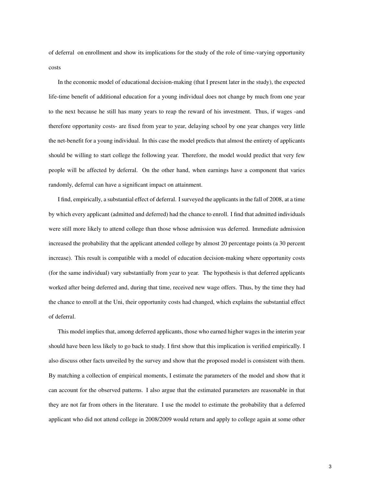of deferral on enrollment and show its implications for the study of the role of time-varying opportunity costs

In the economic model of educational decision-making (that I present later in the study), the expected life-time benefit of additional education for a young individual does not change by much from one year to the next because he still has many years to reap the reward of his investment. Thus, if wages -and therefore opportunity costs- are fixed from year to year, delaying school by one year changes very little the net-benefit for a young individual. In this case the model predicts that almost the entirety of applicants should be willing to start college the following year. Therefore, the model would predict that very few people will be affected by deferral. On the other hand, when earnings have a component that varies randomly, deferral can have a significant impact on attainment.

I find, empirically, a substantial effect of deferral. I surveyed the applicants in the fall of 2008, at a time by which every applicant (admitted and deferred) had the chance to enroll. I find that admitted individuals were still more likely to attend college than those whose admission was deferred. Immediate admission increased the probability that the applicant attended college by almost 20 percentage points (a 30 percent increase). This result is compatible with a model of education decision-making where opportunity costs (for the same individual) vary substantially from year to year. The hypothesis is that deferred applicants worked after being deferred and, during that time, received new wage offers. Thus, by the time they had the chance to enroll at the Uni, their opportunity costs had changed, which explains the substantial effect of deferral.

This model implies that, among deferred applicants, those who earned higher wages in the interim year should have been less likely to go back to study. I first show that this implication is verified empirically. I also discuss other facts unveiled by the survey and show that the proposed model is consistent with them. By matching a collection of empirical moments, I estimate the parameters of the model and show that it can account for the observed patterns. I also argue that the estimated parameters are reasonable in that they are not far from others in the literature. I use the model to estimate the probability that a deferred applicant who did not attend college in 2008/2009 would return and apply to college again at some other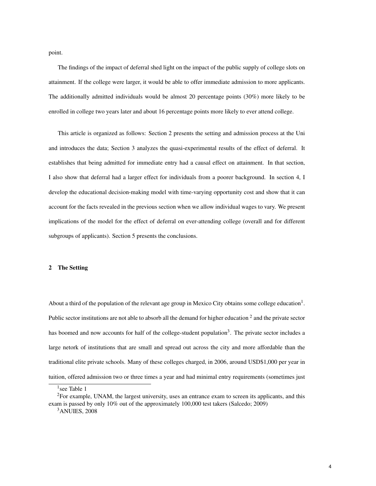point.

The findings of the impact of deferral shed light on the impact of the public supply of college slots on attainment. If the college were larger, it would be able to offer immediate admission to more applicants. The additionally admitted individuals would be almost 20 percentage points (30%) more likely to be enrolled in college two years later and about 16 percentage points more likely to ever attend college.

This article is organized as follows: Section 2 presents the setting and admission process at the Uni and introduces the data; Section 3 analyzes the quasi-experimental results of the effect of deferral. It establishes that being admitted for immediate entry had a causal effect on attainment. In that section, I also show that deferral had a larger effect for individuals from a poorer background. In section 4, I develop the educational decision-making model with time-varying opportunity cost and show that it can account for the facts revealed in the previous section when we allow individual wages to vary. We present implications of the model for the effect of deferral on ever-attending college (overall and for different subgroups of applicants). Section 5 presents the conclusions.

#### 2 The Setting

About a third of the population of the relevant age group in Mexico City obtains some college education<sup>1</sup>. Public sector institutions are not able to absorb all the demand for higher education  $2$  and the private sector has boomed and now accounts for half of the college-student population<sup>3</sup>. The private sector includes a large netork of institutions that are small and spread out across the city and more affordable than the traditional elite private schools. Many of these colleges charged, in 2006, around USD\$1,000 per year in tuition, offered admission two or three times a year and had minimal entry requirements (sometimes just

<sup>1</sup> see Table 1

<sup>2</sup>For example, UNAM, the largest university, uses an entrance exam to screen its applicants, and this exam is passed by only 10% out of the approximately 100,000 test takers (Salcedo; 2009) <sup>3</sup>ANUIES, 2008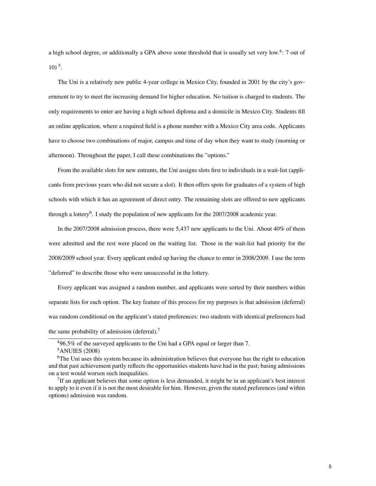a high school degree, or additionally a GPA above some threshold that is usually set very low.<sup>4</sup>: 7 out of  $10)^{5}$ .

The Uni is a relatively new public 4-year college in Mexico City, founded in 2001 by the city's government to try to meet the increasing demand for higher education. No tuition is charged to students. The only requirements to enter are having a high school diploma and a domicile in Mexico City. Students fill an online application, where a required field is a phone number with a Mexico City area code. Applicants have to choose two combinations of major, campus and time of day when they want to study (morning or afternoon). Throughout the paper, I call these combinations the "options."

From the available slots for new entrants, the Uni assigns slots first to individuals in a wait-list (applicants from previous years who did not secure a slot). It then offers spots for graduates of a system of high schools with which it has an agreement of direct entry. The remaining slots are offered to new applicants through a lottery<sup>6</sup>. I study the population of new applicants for the 2007/2008 academic year.

In the 2007/2008 admission process, there were 5,437 new applicants to the Uni. About 40% of them were admitted and the rest were placed on the waiting list. Those in the wait-list had priority for the 2008/2009 school year. Every applicant ended up having the chance to enter in 2008/2009. I use the term "deferred" to describe those who were unsuccessful in the lottery.

Every applicant was assigned a random number, and applicants were sorted by their numbers within separate lists for each option. The key feature of this process for my purposes is that admission (deferral) was random conditional on the applicant's stated preferences: two students with identical preferences had the same probability of admission (deferral).<sup>7</sup>

 $496.5\%$  of the surveyed applicants to the Uni had a GPA equal or larger than 7.

<sup>5</sup>ANUIES (2008)

<sup>6</sup>The Uni uses this system because its administration believes that everyone has the right to education and that past achievement partly reflects the opportunities students have had in the past; basing admissions on a test would worsen such inequalities.

<sup>&</sup>lt;sup>7</sup>If an applicant believes that some option is less demanded, it might be in an applicant's best interest to apply to it even if it is not the most desirable for him. However, given the stated preferences (and within options) admission was random.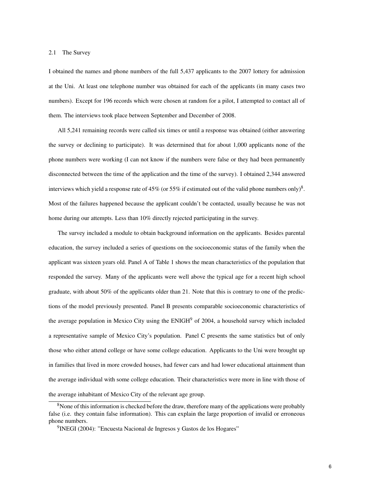#### 2.1 The Survey

I obtained the names and phone numbers of the full 5,437 applicants to the 2007 lottery for admission at the Uni. At least one telephone number was obtained for each of the applicants (in many cases two numbers). Except for 196 records which were chosen at random for a pilot, I attempted to contact all of them. The interviews took place between September and December of 2008.

All 5,241 remaining records were called six times or until a response was obtained (either answering the survey or declining to participate). It was determined that for about 1,000 applicants none of the phone numbers were working (I can not know if the numbers were false or they had been permanently disconnected between the time of the application and the time of the survey). I obtained 2,344 answered interviews which yield a response rate of 45% (or 55% if estimated out of the valid phone numbers only)<sup>8</sup>. Most of the failures happened because the applicant couldn't be contacted, usually because he was not home during our attempts. Less than 10% directly rejected participating in the survey.

The survey included a module to obtain background information on the applicants. Besides parental education, the survey included a series of questions on the socioeconomic status of the family when the applicant was sixteen years old. Panel A of Table 1 shows the mean characteristics of the population that responded the survey. Many of the applicants were well above the typical age for a recent high school graduate, with about 50% of the applicants older than 21. Note that this is contrary to one of the predictions of the model previously presented. Panel B presents comparable socioeconomic characteristics of the average population in Mexico City using the ENIGH<sup>9</sup> of 2004, a household survey which included a representative sample of Mexico City's population. Panel C presents the same statistics but of only those who either attend college or have some college education. Applicants to the Uni were brought up in families that lived in more crowded houses, had fewer cars and had lower educational attainment than the average individual with some college education. Their characteristics were more in line with those of the average inhabitant of Mexico City of the relevant age group.

<sup>&</sup>lt;sup>8</sup>None of this information is checked before the draw, therefore many of the applications were probably false (i.e. they contain false information). This can explain the large proportion of invalid or erroneous phone numbers.

<sup>&</sup>lt;sup>9</sup>INEGI (2004): "Encuesta Nacional de Ingresos y Gastos de los Hogares"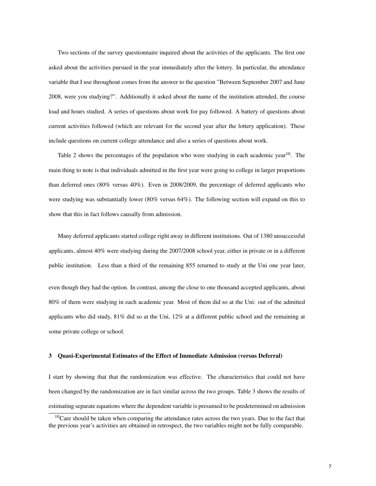Two sections of the survey questionnaire inquired about the activities of the applicants. The first one asked about the activities pursued in the year immediately after the lottery. In particular, the attendance variable that I use throughout comes from the answer to the question "Between September 2007 and June 2008, were you studying?". Additionally it asked about the name of the institution attended, the course load and hours studied. A series of questions about work for pay followed. A battery of questions about current activities followed (which are relevant for the second year after the lottery application). These include questions on current college attendance and also a series of questions about work.

Table 2 shows the percentages of the population who were studying in each academic year<sup>10</sup>. The main thing to note is that individuals admitted in the first year were going to college in larger proportions than deferred ones (80% versus 40%). Even in 2008/2009, the percentage of deferred applicants who were studying was substantially lower (80% versus 64%). The following section will expand on this to show that this in fact follows causally from admission.

Many deferred applicants started college right away in different institutions. Out of 1380 unsuccessful applicants, almost 40% were studying during the 2007/2008 school year, either in private or in a different public institution. Less than a third of the remaining 855 returned to study at the Uni one year later,

even though they had the option. In contrast, among the close to one thousand accepted applicants, about 80% of them were studying in each academic year. Most of them did so at the Uni: out of the admitted applicants who did study, 81% did so at the Uni, 12% at a different public school and the remaining at some private college or school.

#### 3 Quasi-Experimental Estimates of the Effect of Immediate Admission (versus Deferral)

I start by showing that that the randomization was effective. The characteristics that could not have been changed by the randomization are in fact similar across the two groups. Table 3 shows the results of estimating separate equations where the dependent variable is presumed to be predetermined on admission

<sup>&</sup>lt;sup>10</sup>Care should be taken when comparing the attendance rates across the two years. Due to the fact that the previous year's activities are obtained in retrospect, the two variables might not be fully comparable.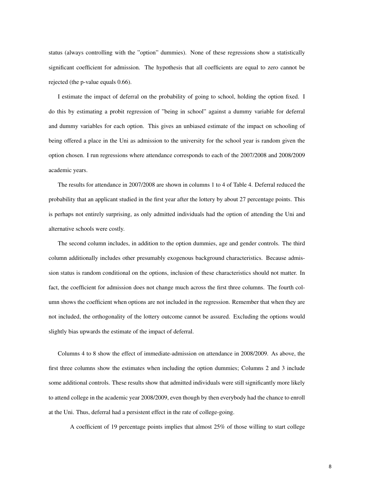status (always controlling with the "option" dummies). None of these regressions show a statistically significant coefficient for admission. The hypothesis that all coefficients are equal to zero cannot be rejected (the p-value equals 0.66).

I estimate the impact of deferral on the probability of going to school, holding the option fixed. I do this by estimating a probit regression of "being in school" against a dummy variable for deferral and dummy variables for each option. This gives an unbiased estimate of the impact on schooling of being offered a place in the Uni as admission to the university for the school year is random given the option chosen. I run regressions where attendance corresponds to each of the 2007/2008 and 2008/2009 academic years.

The results for attendance in 2007/2008 are shown in columns 1 to 4 of Table 4. Deferral reduced the probability that an applicant studied in the first year after the lottery by about 27 percentage points. This is perhaps not entirely surprising, as only admitted individuals had the option of attending the Uni and alternative schools were costly.

The second column includes, in addition to the option dummies, age and gender controls. The third column additionally includes other presumably exogenous background characteristics. Because admission status is random conditional on the options, inclusion of these characteristics should not matter. In fact, the coefficient for admission does not change much across the first three columns. The fourth column shows the coefficient when options are not included in the regression. Remember that when they are not included, the orthogonality of the lottery outcome cannot be assured. Excluding the options would slightly bias upwards the estimate of the impact of deferral.

Columns 4 to 8 show the effect of immediate-admission on attendance in 2008/2009. As above, the first three columns show the estimates when including the option dummies; Columns 2 and 3 include some additional controls. These results show that admitted individuals were still significantly more likely to attend college in the academic year 2008/2009, even though by then everybody had the chance to enroll at the Uni. Thus, deferral had a persistent effect in the rate of college-going.

A coefficient of 19 percentage points implies that almost 25% of those willing to start college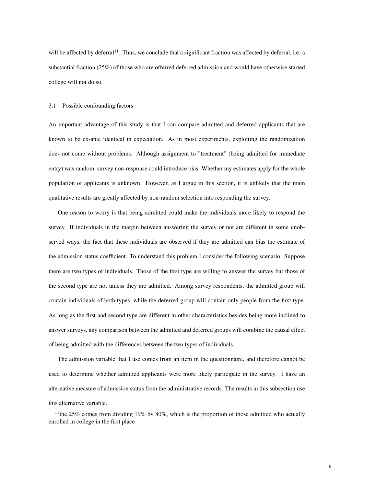will be affected by deferral<sup>11</sup>. Thus, we conclude that a significant fraction was affected by deferral, i.e. a substantial fraction (25%) of those who are offerred deferred admission and would have otherwise started college will not do so.

#### 3.1 Possible confounding factors

An important advantage of this study is that I can compare admitted and deferred applicants that are known to be ex-ante identical in expectation. As in most experiments, exploiting the randomization does not come without problems. Although assignment to "treatment" (being admitted for immediate entry) was random, survey non-response could introduce bias. Whether my estimates apply for the whole population of applicants is unknown. However, as I argue in this section, it is unlikely that the main qualitative results are greatly affected by non-random selection into responding the survey.

One reason to worry is that being admitted could make the individuals more likely to respond the survey. If individuals in the margin between answering the survey or not are different in some unobserved ways, the fact that these individuals are observed if they are admitted can bias the estimate of the admission status coefficient. To understand this problem I consider the following scenario: Suppose there are two types of individuals. Those of the first type are willing to answer the survey but those of the second type are not unless they are admitted. Among survey respondents, the admitted group will contain individuals of both types, while the deferred group will contain only people from the first type. As long as the first and second type are different in other characteristics besides being more inclined to answer surveys, any comparison between the admitted and deferred groups will combine the causal effect of being admitted with the differences between the two types of individuals.

The admission variable that I use comes from an item in the questionnaire, and therefore cannot be used to determine whether admitted applicants were more likely participate in the survey. I have an alternative measure of admission status from the administrative records. The results in this subsection use this alternative variable.

<sup>&</sup>lt;sup>11</sup>the 25% comes from dividing 19% by 80%, which is the proportion of those admitted who actually enrolled in college in the first place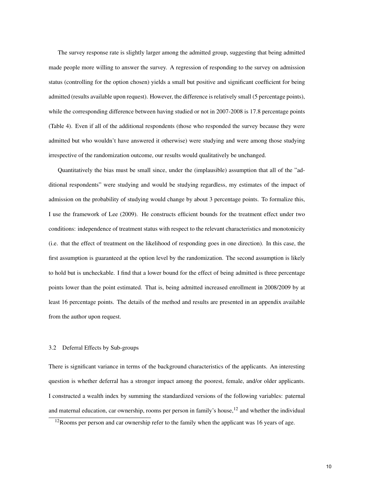The survey response rate is slightly larger among the admitted group, suggesting that being admitted made people more willing to answer the survey. A regression of responding to the survey on admission status (controlling for the option chosen) yields a small but positive and significant coefficient for being admitted (results available upon request). However, the difference is relatively small (5 percentage points), while the corresponding difference between having studied or not in 2007-2008 is 17.8 percentage points (Table 4). Even if all of the additional respondents (those who responded the survey because they were admitted but who wouldn't have answered it otherwise) were studying and were among those studying irrespective of the randomization outcome, our results would qualitatively be unchanged.

Quantitatively the bias must be small since, under the (implausible) assumption that all of the "additional respondents" were studying and would be studying regardless, my estimates of the impact of admission on the probability of studying would change by about 3 percentage points. To formalize this, I use the framework of Lee (2009). He constructs efficient bounds for the treatment effect under two conditions: independence of treatment status with respect to the relevant characteristics and monotonicity (i.e. that the effect of treatment on the likelihood of responding goes in one direction). In this case, the first assumption is guaranteed at the option level by the randomization. The second assumption is likely to hold but is uncheckable. I find that a lower bound for the effect of being admitted is three percentage points lower than the point estimated. That is, being admitted increased enrollment in 2008/2009 by at least 16 percentage points. The details of the method and results are presented in an appendix available from the author upon request.

#### 3.2 Deferral Effects by Sub-groups

There is significant variance in terms of the background characteristics of the applicants. An interesting question is whether deferral has a stronger impact among the poorest, female, and/or older applicants. I constructed a wealth index by summing the standardized versions of the following variables: paternal and maternal education, car ownership, rooms per person in family's house, $1<sup>2</sup>$  and whether the individual

<sup>&</sup>lt;sup>12</sup>Rooms per person and car ownership refer to the family when the applicant was 16 years of age.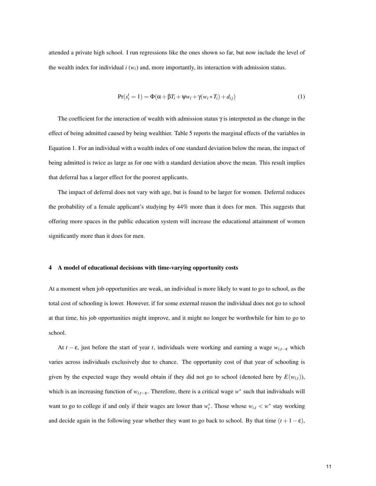attended a private high school. I run regressions like the ones shown so far, but now include the level of the wealth index for individual  $i(w_i)$  and, more importantly, its interaction with admission status.

$$
Pr(s_i^t = 1) = \Phi(\alpha + \beta T_i + \psi w_i + \gamma(w_i * T_i) + d_{ij})
$$
\n(1)

The coefficient for the interaction of wealth with admission status  $\gamma$  is interpreted as the change in the effect of being admitted caused by being wealthier. Table 5 reports the marginal effects of the variables in Equation 1. For an individual with a wealth index of one standard deviation below the mean, the impact of being admitted is twice as large as for one with a standard deviation above the mean. This result implies that deferral has a larger effect for the poorest applicants.

The impact of deferral does not vary with age, but is found to be larger for women. Deferral reduces the probability of a female applicant's studying by 44% more than it does for men. This suggests that offering more spaces in the public education system will increase the educational attainment of women significantly more than it does for men.

#### 4 A model of educational decisions with time-varying opportunity costs

At a moment when job opportunities are weak, an individual is more likely to want to go to school, as the total cost of schooling is lower. However, if for some external reason the individual does not go to school at that time, his job opportunities might improve, and it might no longer be worthwhile for him to go to school.

At  $t - \varepsilon$ , just before the start of year *t*, individuals were working and earning a wage  $w_{i,t-\varepsilon}$  which varies across individuals exclusively due to chance. The opportunity cost of that year of schooling is given by the expected wage they would obtain if they did not go to school (denoted here by  $E(w_{i,t})$ ), which is an increasing function of  $w_{i,t-\epsilon}$ . Therefore, there is a critical wage  $w^*$  such that individuals will want to go to college if and only if their wages are lower than  $w_t^*$ . Those whose  $w_{i,t} < w^*$  stay working and decide again in the following year whether they want to go back to school. By that time  $(t + 1 - \epsilon)$ ,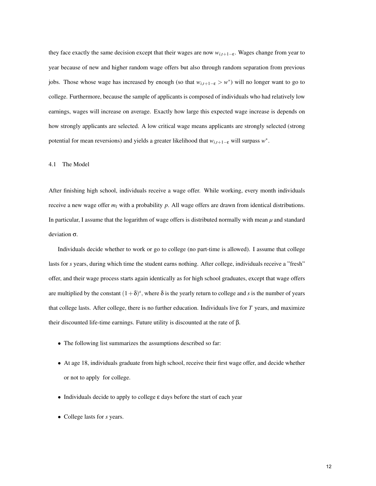they face exactly the same decision except that their wages are now  $w_{i,t+1-\varepsilon}$ . Wages change from year to year because of new and higher random wage offers but also through random separation from previous jobs. Those whose wage has increased by enough (so that  $w_{i,t+1-\varepsilon} > w^*$ ) will no longer want to go to college. Furthermore, because the sample of applicants is composed of individuals who had relatively low earnings, wages will increase on average. Exactly how large this expected wage increase is depends on how strongly applicants are selected. A low critical wage means applicants are strongly selected (strong potential for mean reversions) and yields a greater likelihood that *w*<sub>*i*,*t*+1−ε will surpass *w*<sup>\*</sup>.</sub>

#### 4.1 The Model

After finishing high school, individuals receive a wage offer. While working, every month individuals receive a new wage offer  $m_l$  with a probability  $p$ . All wage offers are drawn from identical distributions. In particular, I assume that the logarithm of wage offers is distributed normally with mean  $\mu$  and standard deviation σ.

Individuals decide whether to work or go to college (no part-time is allowed). I assume that college lasts for *s* years, during which time the student earns nothing. After college, individuals receive a "fresh" offer, and their wage process starts again identically as for high school graduates, except that wage offers are multiplied by the constant  $(1+\delta)^s$ , where  $\delta$  is the yearly return to college and *s* is the number of years that college lasts. After college, there is no further education. Individuals live for *T* years, and maximize their discounted life-time earnings. Future utility is discounted at the rate of  $β$ .

- The following list summarizes the assumptions described so far:
- At age 18, individuals graduate from high school, receive their first wage offer, and decide whether or not to apply for college.
- Individuals decide to apply to college ε days before the start of each year
- College lasts for *s* years.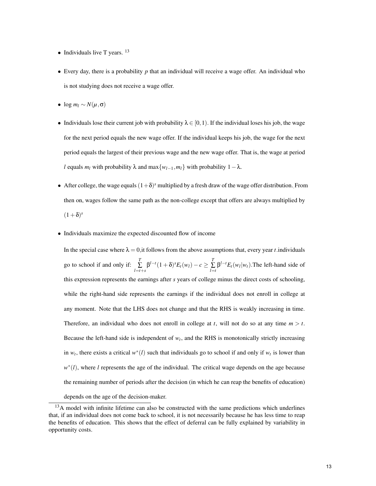- Individuals live T years.  $13$
- Every day, there is a probability *p* that an individual will receive a wage offer. An individual who is not studying does not receive a wage offer.
- log  $m_l \sim N(\mu, \sigma)$
- Individuals lose their current job with probability  $\lambda \in [0,1)$ . If the individual loses his job, the wage for the next period equals the new wage offer. If the individual keeps his job, the wage for the next period equals the largest of their previous wage and the new wage offer. That is, the wage at period *l* equals *m*<sup>*l*</sup> with probability λ and max{*w*<sub>*l*−1</sub>,*m*<sub>*l*</sub>} with probability 1−λ.
- After college, the wage equals  $(1+\delta)^s$  multiplied by a fresh draw of the wage offer distribution. From then on, wages follow the same path as the non-college except that offers are always multiplied by  $(1+\delta)^s$
- Individuals maximize the expected discounted flow of income

In the special case where  $\lambda = 0$ , it follows from the above assumptions that, every year *t*.individuals go to school if and only if:  $\sum_{ }^{T}$  $\sum_{l=t+s}^{T}\beta^{l-t}(1+\delta)^{s}E_{t}(w_{l})-c\geq \sum_{l=s}^{T}\beta^{l-t}(\delta_{l}+o_{l})$  $\sum_{l=t}^{t} \beta^{l-t} E_t(w_l|w_t)$ . The left-hand side of this expression represents the earnings after *s* years of college minus the direct costs of schooling, while the right-hand side represents the earnings if the individual does not enroll in college at any moment. Note that the LHS does not change and that the RHS is weakly increasing in time. Therefore, an individual who does not enroll in college at *t*, will not do so at any time  $m > t$ . Because the left-hand side is independent of  $w_t$ , and the RHS is monotonically strictly increasing in  $w_t$ , there exists a critical  $w^*(l)$  such that individuals go to school if and only if  $w_t$  is lower than *w*<sup>\*</sup>(*l*), where *l* represents the age of the individual. The critical wage depends on the age because the remaining number of periods after the decision (in which he can reap the benefits of education) depends on the age of the decision-maker.

<sup>&</sup>lt;sup>13</sup>A model with infinite lifetime can also be constructed with the same predictions which underlines that, if an individual does not come back to school, it is not necessarily because he has less time to reap the benefits of education. This shows that the effect of deferral can be fully explained by variability in opportunity costs.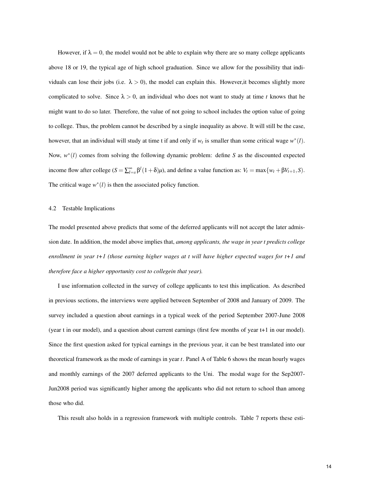However, if  $\lambda = 0$ , the model would not be able to explain why there are so many college applicants above 18 or 19, the typical age of high school graduation. Since we allow for the possibility that individuals can lose their jobs (i.e.  $\lambda > 0$ ), the model can explain this. However, it becomes slightly more complicated to solve. Since  $\lambda > 0$ , an individual who does not want to study at time *t* knows that he might want to do so later. Therefore, the value of not going to school includes the option value of going to college. Thus, the problem cannot be described by a single inequality as above. It will still be the case, however, that an individual will study at time t if and only if  $w_t$  is smaller than some critical wage  $w^*(l)$ . Now, *w* ∗ (*l*) comes from solving the following dynamic problem: define *S* as the discounted expected income flow after college  $(S = \sum_{l=s}^{\infty} \beta^{l} (1 + \delta) \mu)$ , and define a value function as:  $V_t = \max \{ w_t + \beta V_{t+1}, S \}$ . The critical wage  $w^*(l)$  is then the associated policy function.

#### 4.2 Testable Implications

The model presented above predicts that some of the deferred applicants will not accept the later admission date. In addition, the model above implies that, *among applicants, the wage in year t predicts college enrollment in year t+1 (those earning higher wages at t will have higher expected wages for t+1 and therefore face a higher opportunity cost to collegein that year).*

I use information collected in the survey of college applicants to test this implication. As described in previous sections, the interviews were applied between September of 2008 and January of 2009. The survey included a question about earnings in a typical week of the period September 2007-June 2008 (year t in our model), and a question about current earnings (first few months of year t+1 in our model). Since the first question asked for typical earnings in the previous year, it can be best translated into our theoretical framework as the mode of earnings in year *t*. Panel A of Table 6 shows the mean hourly wages and monthly earnings of the 2007 deferred applicants to the Uni. The modal wage for the Sep2007- Jun2008 period was significantly higher among the applicants who did not return to school than among those who did.

This result also holds in a regression framework with multiple controls. Table 7 reports these esti-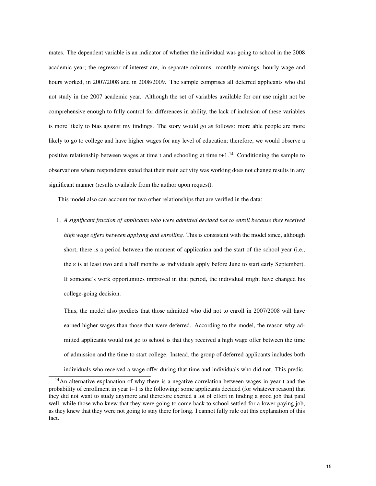mates. The dependent variable is an indicator of whether the individual was going to school in the 2008 academic year; the regressor of interest are, in separate columns: monthly earnings, hourly wage and hours worked, in 2007/2008 and in 2008/2009. The sample comprises all deferred applicants who did not study in the 2007 academic year. Although the set of variables available for our use might not be comprehensive enough to fully control for differences in ability, the lack of inclusion of these variables is more likely to bias against my findings. The story would go as follows: more able people are more likely to go to college and have higher wages for any level of education; therefore, we would observe a positive relationship between wages at time t and schooling at time  $t+1$ .<sup>14</sup> Conditioning the sample to observations where respondents stated that their main activity was working does not change results in any significant manner (results available from the author upon request).

This model also can account for two other relationships that are verified in the data:

1. *A significant fraction of applicants who were admitted decided not to enroll because they received high wage offers between applying and enrolling.* This is consistent with the model since, although short, there is a period between the moment of application and the start of the school year (i.e., the ε is at least two and a half months as individuals apply before June to start early September). If someone's work opportunities improved in that period, the individual might have changed his college-going decision.

Thus, the model also predicts that those admitted who did not to enroll in 2007/2008 will have earned higher wages than those that were deferred. According to the model, the reason why admitted applicants would not go to school is that they received a high wage offer between the time of admission and the time to start college. Instead, the group of deferred applicants includes both individuals who received a wage offer during that time and individuals who did not. This predic-

 $14$ An alternative explanation of why there is a negative correlation between wages in year t and the probability of enrollment in year t+1 is the following: some applicants decided (for whatever reason) that they did not want to study anymore and therefore exerted a lot of effort in finding a good job that paid well, while those who knew that they were going to come back to school settled for a lower-paying job, as they knew that they were not going to stay there for long. I cannot fully rule out this explanation of this fact.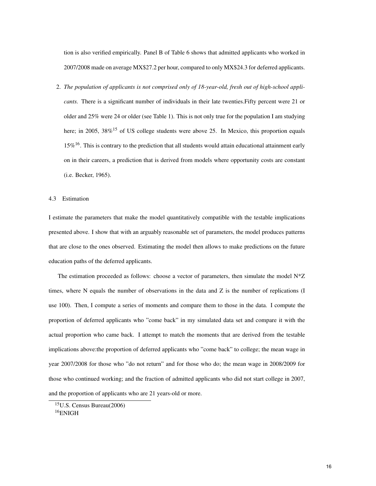tion is also verified empirically. Panel B of Table 6 shows that admitted applicants who worked in 2007/2008 made on average MX\$27.2 per hour, compared to only MX\$24.3 for deferred applicants.

2. *The population of applicants is not comprised only of 18-year-old, fresh out of high-school applicants.* There is a significant number of individuals in their late twenties.Fifty percent were 21 or older and 25% were 24 or older (see Table 1). This is not only true for the population I am studying here; in 2005,  $38\%$ <sup>15</sup> of US college students were above 25. In Mexico, this proportion equals  $15\%$ <sup>16</sup>. This is contrary to the prediction that all students would attain educational attainment early on in their careers, a prediction that is derived from models where opportunity costs are constant (i.e. Becker, 1965).

#### 4.3 Estimation

I estimate the parameters that make the model quantitatively compatible with the testable implications presented above. I show that with an arguably reasonable set of parameters, the model produces patterns that are close to the ones observed. Estimating the model then allows to make predictions on the future education paths of the deferred applicants.

The estimation proceeded as follows: choose a vector of parameters, then simulate the model  $N^*Z$ times, where N equals the number of observations in the data and Z is the number of replications (I use 100). Then, I compute a series of moments and compare them to those in the data. I compute the proportion of deferred applicants who "come back" in my simulated data set and compare it with the actual proportion who came back. I attempt to match the moments that are derived from the testable implications above:the proportion of deferred applicants who "come back" to college; the mean wage in year 2007/2008 for those who "do not return" and for those who do; the mean wage in 2008/2009 for those who continued working; and the fraction of admitted applicants who did not start college in 2007, and the proportion of applicants who are 21 years-old or more.

<sup>15</sup>U.S. Census Bureau(2006)  $^{16}\mbox{ENIGH}$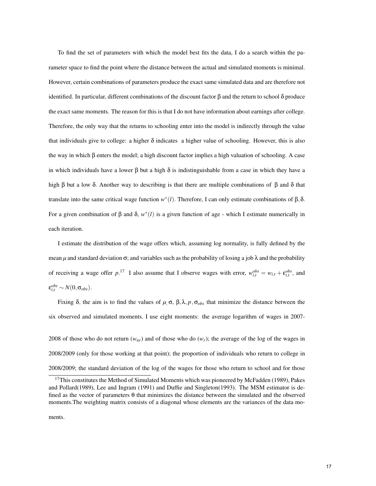To find the set of parameters with which the model best fits the data, I do a search within the parameter space to find the point where the distance between the actual and simulated moments is minimal. However, certain combinations of parameters produce the exact same simulated data and are therefore not identified. In particular, different combinations of the discount factor β and the return to school δ produce the exact same moments. The reason for this is that I do not have information about earnings after college. Therefore, the only way that the returns to schooling enter into the model is indirectly through the value that individuals give to college: a higher  $\delta$  indicates a higher value of schooling. However, this is also the way in which  $\beta$  enters the model; a high discount factor implies a high valuation of schooling. A case in which individuals have a lower β but a high  $\delta$  is indistinguishable from a case in which they have a high β but a low δ. Another way to describing is that there are multiple combinations of β and δ that translate into the same critical wage function  $w^*(l)$ . Therefore, I can only estimate combinations of β,δ. For a given combination of  $\beta$  and  $\delta$ ,  $w^*(l)$  is a given function of age - which I estimate numerically in each iteration.

I estimate the distribution of the wage offers which, assuming log normality, is fully defined by the mean  $\mu$  and standard deviation  $\sigma$ ; and variables such as the probability of losing a job  $\lambda$  and the probability of receiving a wage offer  $p$ <sup>17</sup>. I also assume that I observe wages with error,  $w_{i,t}^{obs} = w_{i,t} + \varepsilon_{i,t}^{obs}$ , and  $\varepsilon_{i,t}^{obs} \sim N(0, \sigma_{obs}).$ 

Fixing δ, the aim is to find the values of  $\mu$ , σ,  $\beta$ ,  $\lambda$ ,  $p$ , σ<sub>*obs*</sub> that minimize the distance between the six observed and simulated moments. I use eight moments: the average logarithm of wages in 2007-

2008 of those who do not return  $(w<sub>nr</sub>)$  and of those who do  $(w<sub>r</sub>)$ ; the average of the log of the wages in 2008/2009 (only for those working at that point); the proportion of individuals who return to college in 2008/2009; the standard deviation of the log of the wages for those who return to school and for those

ments.

 $17$ This constitutes the Method of Simulated Moments which was pioneered by McFadden (1989), Pakes and Pollard(1989), Lee and Ingram (1991) and Duffie and Singleton(1993). The MSM estimator is defined as the vector of parameters  $\theta$  that minimizes the distance between the simulated and the observed moments.The weighting matrix consists of a diagonal whose elements are the variances of the data mo-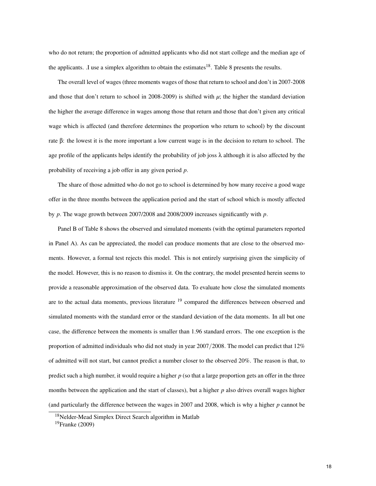who do not return; the proportion of admitted applicants who did not start college and the median age of the applicants. I use a simplex algorithm to obtain the estimates<sup>18</sup>. Table 8 presents the results.

The overall level of wages (three moments wages of those that return to school and don't in 2007-2008 and those that don't return to school in 2008-2009) is shifted with  $\mu$ ; the higher the standard deviation the higher the average difference in wages among those that return and those that don't given any critical wage which is affected (and therefore determines the proportion who return to school) by the discount rate β: the lowest it is the more important a low current wage is in the decision to return to school. The age profile of the applicants helps identify the probability of job joss  $\lambda$  although it is also affected by the probability of receiving a job offer in any given period *p*.

The share of those admitted who do not go to school is determined by how many receive a good wage offer in the three months between the application period and the start of school which is mostly affected by *p*. The wage growth between 2007/2008 and 2008/2009 increases significantly with *p*.

Panel B of Table 8 shows the observed and simulated moments (with the optimal parameters reported in Panel A). As can be appreciated, the model can produce moments that are close to the observed moments. However, a formal test rejects this model. This is not entirely surprising given the simplicity of the model. However, this is no reason to dismiss it. On the contrary, the model presented herein seems to provide a reasonable approximation of the observed data. To evaluate how close the simulated moments are to the actual data moments, previous literature  $19$  compared the differences between observed and simulated moments with the standard error or the standard deviation of the data moments. In all but one case, the difference between the moments is smaller than 1.96 standard errors. The one exception is the proportion of admitted individuals who did not study in year 2007/2008. The model can predict that 12% of admitted will not start, but cannot predict a number closer to the observed 20%. The reason is that, to predict such a high number, it would require a higher *p* (so that a large proportion gets an offer in the three months between the application and the start of classes), but a higher *p* also drives overall wages higher (and particularly the difference between the wages in 2007 and 2008, which is why a higher *p* cannot be

<sup>&</sup>lt;sup>18</sup>Nelder-Mead Simplex Direct Search algorithm in Matlab

<sup>19</sup>Franke (2009)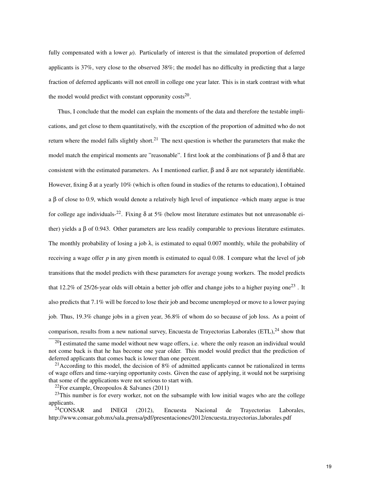fully compensated with a lower  $\mu$ ). Particularly of interest is that the simulated proportion of deferred applicants is 37%, very close to the observed 38%; the model has no difficulty in predicting that a large fraction of deferred applicants will not enroll in college one year later. This is in stark contrast with what the model would predict with constant opporunity  $costs^{20}$ .

Thus, I conclude that the model can explain the moments of the data and therefore the testable implications, and get close to them quantitatively, with the exception of the proportion of admitted who do not return where the model falls slightly short.<sup>21</sup> The next question is whether the parameters that make the model match the empirical moments are "reasonable". I first look at the combinations of β and δ that are consistent with the estimated parameters. As I mentioned earlier, β and δ are not separately identifiable. However, fixing δ at a yearly 10% (which is often found in studies of the returns to education), I obtained a β of close to 0.9, which would denote a relatively high level of impatience -which many argue is true for college age individuals-<sup>22</sup>. Fixing  $\delta$  at 5% (below most literature estimates but not unreasonable either) yields a β of 0.943. Other parameters are less readily comparable to previous literature estimates. The monthly probability of losing a job  $\lambda$ , is estimated to equal 0.007 monthly, while the probability of receiving a wage offer *p* in any given month is estimated to equal 0.08. I compare what the level of job transitions that the model predicts with these parameters for average young workers. The model predicts that 12.2% of 25/26-year olds will obtain a better job offer and change jobs to a higher paying one<sup>23</sup>. It also predicts that 7.1% will be forced to lose their job and become unemployed or move to a lower paying job. Thus, 19.3% change jobs in a given year, 36.8% of whom do so because of job loss. As a point of comparison, results from a new national survey, Encuesta de Trayectorias Laborales (ETL), $^{24}$  show that

 $20$ I estimated the same model without new wage offers, i.e. where the only reason an individual would not come back is that he has become one year older. This model would predict that the prediction of deferred applicants that comes back is lower than one percent.

<sup>&</sup>lt;sup>21</sup> According to this model, the decision of 8% of admitted applicants cannot be rationalized in terms of wage offers and time-varying opportunity costs. Given the ease of applying, it would not be surprising that some of the applications were not serious to start with.

<sup>&</sup>lt;sup>22</sup>For example, Oreopoulos & Salvanes (2011)

 $23$ This number is for every worker, not on the subsample with low initial wages who are the college applicants.

 $^{24}$ CONSAR and INEGI (2012), Encuesta Nacional de Trayectorias Laborales, http://www.consar.gob.mx/sala prensa/pdf/presentaciones/2012/encuesta trayectorias laborales.pdf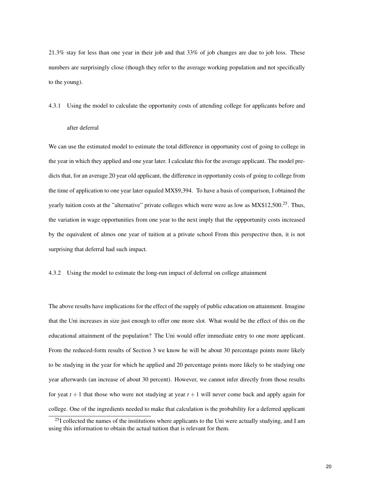21.3% stay for less than one year in their job and that 33% of job changes are due to job loss. These numbers are surprisingly close (though they refer to the average working population and not specifically to the young).

4.3.1 Using the model to calculate the opportunity costs of attending college for applicants before and

#### after deferral

We can use the estimated model to estimate the total difference in opportunity cost of going to college in the year in which they applied and one year later. I calculate this for the average applicant. The model predicts that, for an average 20 year old applicant, the difference in opportunity costs of going to college from the time of application to one year later equaled MX\$9,394. To have a basis of comparison, I obtained the yearly tuition costs at the "alternative" private colleges which were were as low as MX\$12,500.<sup>25</sup>. Thus, the variation in wage opportunities from one year to the next imply that the oppportunity costs increased by the equivalent of almos one year of tuition at a private school From this perspective then, it is not surprising that deferral had such impact.

4.3.2 Using the model to estimate the long-run impact of deferral on college attainment

The above results have implications for the effect of the supply of public education on attainment. Imagine that the Uni increases in size just enough to offer one more slot. What would be the effect of this on the educational attainment of the population? The Uni would offer immediate entry to one more applicant. From the reduced-form results of Section 3 we know he will be about 30 percentage points more likely to be studying in the year for which he applied and 20 percentage points more likely to be studying one year afterwards (an increase of about 30 percent). However, we cannot infer directly from those results for yeat  $t + 1$  that those who were not studying at year  $t + 1$  will never come back and apply again for college. One of the ingredients needed to make that calculation is the probability for a deferred applicant

 $^{25}$ I collected the names of the institutions where applicants to the Uni were actually studying, and I am using this information to obtain the actual tuition that is relevant for them.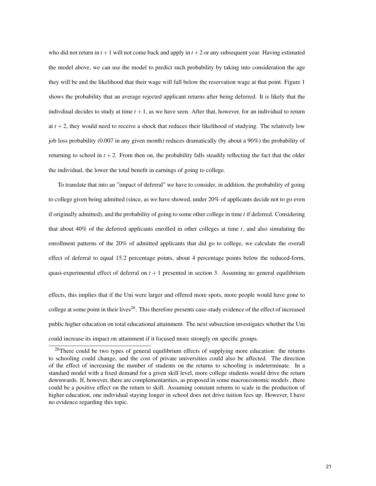who did not return in  $t + 1$  will not come back and apply in  $t + 2$  or any subsequent year. Having estimated the model above, we can use the model to predict such probability by taking into consideration the age they will be and the likelihood that their wage will fall below the reservation wage at that point. Figure 1 shows the probability that an average rejected applicant returns after being deferred. It is likely that the indivdiual decides to study at time  $t + 1$ , as we have seen. After that, however, for an individual to return at  $t + 2$ , they would need to receive a shock that reduces their likelihood of studying. The relatively low job loss probability (0.007 in any given month) reduces dramatically (by about a 90%) the probability of returning to school in  $t + 2$ . From then on, the probability falls steadily reflecting the fact that the older the individual, the lower the total benefit in earnings of going to college.

To translate that into an "impact of deferral" we have to consider, in addition, the probability of going to college given being admitted (since, as we have showed, under 20% of applicants decide not to go even if originally admitted), and the probability of going to some other college in time *t* if deferred. Considering that about 40% of the deferred applicants enrolled in other colleges at time *t*, and also simulating the enrollment patterns of the 20% of admitted applicants that did go to college, we calculate the overall effect of deferral to equal 15.2 percentage points, about 4 percentage points below the reduced-form, quasi-experimental effect of deferral on  $t + 1$  presented in section 3. Assuming no general equilibrium

effects, this implies that if the Uni were larger and offered more spots, more people would have gone to college at some point in their lives<sup>26</sup>. This therefore presents case-study evidence of the effect of increased public higher education on total educational attainment. The next subsection investigates whether the Uni could increase its impact on attainment if it focused more strongly on specific groups.

 $26$ There could be two types of general equilibrium effects of supplying more education: the returns to schooling could change, and the cost of private universities could also be affected. The direction of the effect of increasing the number of students on the returns to schooling is indeterminate. In a standard model with a fixed demand for a given skill level, more college students would drive the return downwards. If, however, there are complementarities, as proposed in some macroeconomic models , there could be a positive effect on the return to skill. Assuming constant returns to scale in the production of higher education, one individual staying longer in school does not drive tuition fees up. However, I have no evidence regarding this topic.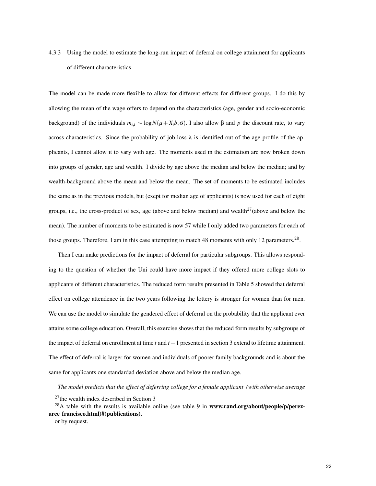# 4.3.3 Using the model to estimate the long-run impact of deferral on college attainment for applicants of different characteristics

The model can be made more flexible to allow for different effects for different groups. I do this by allowing the mean of the wage offers to depend on the characteristics (age, gender and socio-economic background) of the individuals *mi*,*<sup>t</sup>* ∼ log*N*(*µ* + *Xib*,σ). I also allow β and *p* the discount rate, to vary across characteristics. Since the probability of job-loss  $\lambda$  is identified out of the age profile of the applicants, I cannot allow it to vary with age. The moments used in the estimation are now broken down into groups of gender, age and wealth. I divide by age above the median and below the median; and by wealth-background above the mean and below the mean. The set of moments to be estimated includes the same as in the previous models, but (exept for median age of applicants) is now used for each of eight groups, i.e., the cross-product of sex, age (above and below median) and wealth<sup>27</sup>(above and below the mean). The number of moments to be estimated is now 57 while I only added two parameters for each of those groups. Therefore, I am in this case attempting to match 48 moments with only 12 parameters.<sup>28</sup>.

Then I can make predictions for the impact of deferral for particular subgroups. This allows responding to the question of whether the Uni could have more impact if they offered more college slots to applicants of different characteristics. The reduced form results presented in Table 5 showed that deferral effect on college attendence in the two years following the lottery is stronger for women than for men. We can use the model to simulate the gendered effect of deferral on the probability that the applicant ever attains some college education. Overall, this exercise shows that the reduced form results by subgroups of the impact of deferral on enrollment at time  $t$  and  $t + 1$  presented in section 3 extend to lifetime attainment. The effect of deferral is larger for women and individuals of poorer family backgrounds and is about the same for applicants one standardad deviation above and below the median age.

*The model predicts that the effect of deferring college for a female applicant (with otherwise average*

 $27$ the wealth index described in Section 3

 $^{28}$ A table with the results is available online (see table 9 in www.rand.org/about/people/p/perezarce francisco.html)#)publications).

or by request.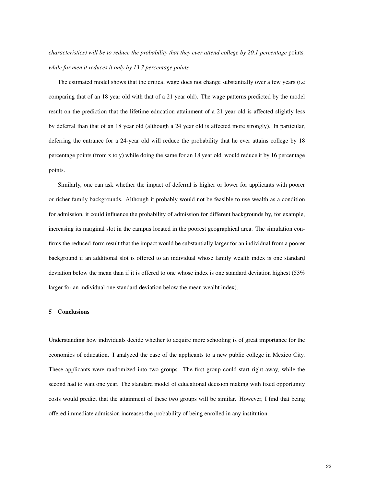*characteristics) will be to reduce the probability that they ever attend college by 20.1 percentage* points*, while for men it reduces it only by 13.7 percentage points*.

The estimated model shows that the critical wage does not change substantially over a few years (i.e comparing that of an 18 year old with that of a 21 year old). The wage patterns predicted by the model result on the prediction that the lifetime education attainment of a 21 year old is affected slightly less by deferral than that of an 18 year old (although a 24 year old is affected more strongly). In particular, deferring the entrance for a 24-year old will reduce the probability that he ever attains college by 18 percentage points (from x to y) while doing the same for an 18 year old would reduce it by 16 percentage points.

Similarly, one can ask whether the impact of deferral is higher or lower for applicants with poorer or richer family backgrounds. Although it probably would not be feasible to use wealth as a condition for admission, it could influence the probability of admission for different backgrounds by, for example, increasing its marginal slot in the campus located in the poorest geographical area. The simulation confirms the reduced-form result that the impact would be substantially larger for an individual from a poorer background if an additional slot is offered to an individual whose family wealth index is one standard deviation below the mean than if it is offered to one whose index is one standard deviation highest (53% larger for an individual one standard deviation below the mean wealht index).

#### 5 Conclusions

Understanding how individuals decide whether to acquire more schooling is of great importance for the economics of education. I analyzed the case of the applicants to a new public college in Mexico City. These applicants were randomized into two groups. The first group could start right away, while the second had to wait one year. The standard model of educational decision making with fixed opportunity costs would predict that the attainment of these two groups will be similar. However, I find that being offered immediate admission increases the probability of being enrolled in any institution.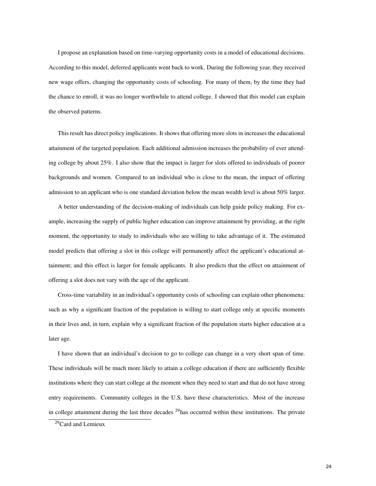I propose an explanation based on time-varying opportunity costs in a model of educational decisions. According to this model, deferred applicants went back to work. During the following year, they received new wage offers, changing the opportunity costs of schooling. For many of them, by the time they had the chance to enroll, it was no longer worthwhile to attend college. I showed that this model can explain the observed patterns.

This result has direct policy implications. It shows that offering more slots in increases the educational attainment of the targeted population. Each additional admission increases the probability of ever attending college by about 25%. I also show that the impact is larger for slots offered to individuals of poorer backgrounds and women. Compared to an individual who is close to the mean, the impact of offering admission to an applicant who is one standard deviation below the mean wealth level is about 50% larger.

A better understanding of the decision-making of individuals can help guide policy making. For example, increasing the supply of public higher education can improve attainment by providing, at the right moment, the opportunity to study to individuals who are willing to take advantage of it. The estimated model predicts that offering a slot in this college will permanently affect the applicant's educational attainment; and this effect is larger for female applicants. It also predicts that the effect on attainment of offering a slot does not vary with the age of the applicant.

Cross-time variability in an individual's opportunity costs of schooling can explain other phenomena: such as why a significant fraction of the population is willing to start college only at specific moments in their lives and, in turn, explain why a significant fraction of the population starts higher education at a later age.

I have shown that an individual's decision to go to college can change in a very short span of time. These individuals will be much more likely to attain a college education if there are sufficiently flexible institutions where they can start college at the moment when they need to start and that do not have strong entry requirements. Community colleges in the U.S. have these characteristics. Most of the increase in college attainment during the last three decades  $^{29}$  has occurred within these institutions. The private

<sup>29</sup>Card and Lemieux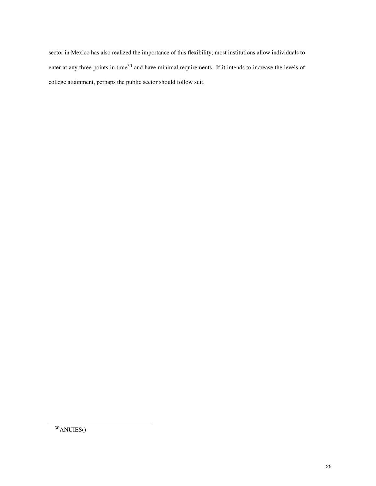sector in Mexico has also realized the importance of this flexibility; most institutions allow individuals to enter at any three points in time<sup>30</sup> and have minimal requirements. If it intends to increase the levels of college attainment, perhaps the public sector should follow suit.

 $30$  ANUIES()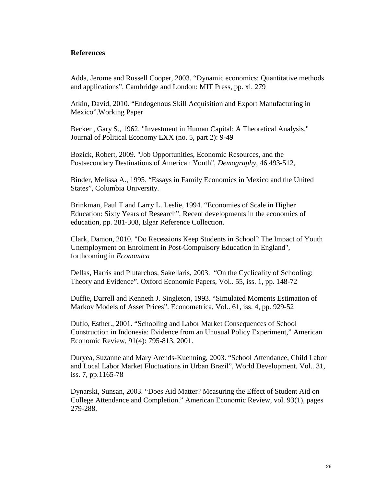## **References**

Adda, Jerome and Russell Cooper, 2003. "Dynamic economics: Quantitative methods and applications", Cambridge and London: MIT Press, pp. xi, 279

Atkin, David, 2010. "Endogenous Skill Acquisition and Export Manufacturing in Mexico".Working Paper

Becker , Gary S., 1962. "Investment in Human Capital: A Theoretical Analysis," Journal of Political Economy LXX (no. 5, part 2): 9-49

Bozick, Robert, 2009. "Job Opportunities, Economic Resources, and the Postsecondary Destinations of American Youth", *Demography*, 46 493-512,

Binder, Melissa A., 1995. "Essays in Family Economics in Mexico and the United States", Columbia University.

Brinkman, Paul T and Larry L. Leslie, 1994. "Economies of Scale in Higher Education: Sixty Years of Research", Recent developments in the economics of education, pp. 281-308, Elgar Reference Collection.

Clark, Damon, 2010. ["Do Recessions Keep Students in School? The Impact of Youth](http://www3.interscience.wiley.com/cgi-bin/fulltext/122579816/PDFSTART)  [Unemployment on Enrolment in Post-Compulsory Education in England"](http://www3.interscience.wiley.com/cgi-bin/fulltext/122579816/PDFSTART), forthcoming in *Economica* 

Dellas, Harris and Plutarchos, Sakellaris, 2003. "On the Cyclicality of Schooling: Theory and Evidence". Oxford Economic Papers, Vol.. 55, iss. 1, pp. 148-72

Duffie, Darrell and Kenneth J. Singleton, 1993. "Simulated Moments Estimation of Markov Models of Asset Prices". Econometrica, Vol.. 61, iss. 4, pp. 929-52

Duflo, Esther., 2001. "Schooling and Labor Market Consequences of School Construction in Indonesia: Evidence from an Unusual Policy Experiment," American Economic Review, 91(4): 795-813, 2001.

Duryea, Suzanne and Mary Arends-Kuenning, 2003. "School Attendance, Child Labor and Local Labor Market Fluctuations in Urban Brazil", World Development, Vol.. 31, iss. 7, pp.1165-78

Dynarski, Sunsan, 2003. "Does Aid Matter? Measuring the Effect of Student Aid on College Attendance and Completion." American Economic Review, vol. 93(1), pages 279-288.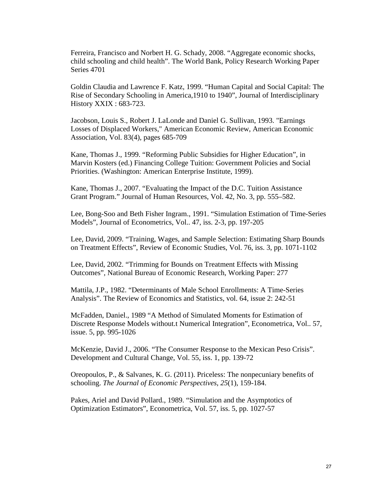Ferreira, Francisco and Norbert H. G. Schady, 2008. "Aggregate economic shocks, child schooling and child health". The World Bank, Policy Research Working Paper Series 4701

Goldin Claudia and Lawrence F. Katz, 1999. "Human Capital and Social Capital: The Rise of Secondary Schooling in America,1910 to 1940", Journal of Interdisciplinary History XXIX : 683-723.

Jacobson, Louis S., Robert J. LaLonde and Daniel G. Sullivan, 1993. "Earnings Losses of Displaced Workers," American Economic Review, American Economic Association, Vol. 83(4), pages 685-709

Kane, Thomas J., 1999. "Reforming Public Subsidies for Higher Education", in Marvin Kosters (ed.) Financing College Tuition: Government Policies and Social Priorities. (Washington: American Enterprise Institute, 1999).

Kane, Thomas J., 2007. "Evaluating the Impact of the D.C. Tuition Assistance Grant Program." Journal of Human Resources, Vol. 42, No. 3, pp. 555–582.

Lee, Bong-Soo and Beth Fisher Ingram., 1991. "Simulation Estimation of Time-Series Models", Journal of Econometrics, Vol.. 47, iss. 2-3, pp. 197-205

Lee, David, 2009. "Training, Wages, and Sample Selection: Estimating Sharp Bounds on Treatment Effects", Review of Economic Studies, Vol. 76, iss. 3, pp. 1071-1102

Lee, David, 2002. "Trimming for Bounds on Treatment Effects with Missing Outcomes", National Bureau of Economic Research, Working Paper: 277

Mattila, J.P., 1982. "Determinants of Male School Enrollments: A Time-Series Analysis". [The Review of Economics and Statistics,](http://econpapers.repec.org/article/tprrestat/) vol. 64, issue 2: 242-51

McFadden, Daniel., 1989 "A Method of Simulated Moments for Estimation of Discrete Response Models without.t Numerical Integration", Econometrica, Vol.. 57, issue. 5, pp. 995-1026

McKenzie, David J., 2006. "The Consumer Response to the Mexican Peso Crisis". Development and Cultural Change, Vol. 55, iss. 1, pp. 139-72

Oreopoulos, P., & Salvanes, K. G. (2011). Priceless: The nonpecuniary benefits of schooling. *The Journal of Economic Perspectives*, *25*(1), 159-184.

Pakes, Ariel and David Pollard., 1989. "Simulation and the Asymptotics of Optimization Estimators", Econometrica, Vol. 57, iss. 5, pp. 1027-57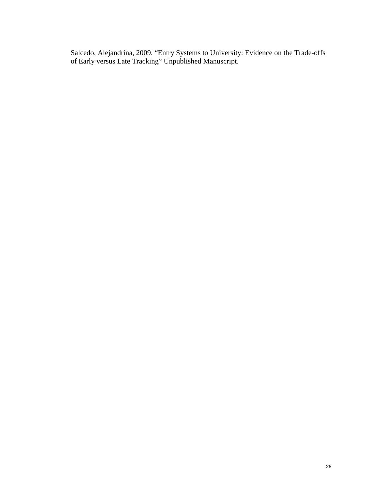Salcedo, Alejandrina, 2009. "Entry Systems to University: Evidence on the Trade-offs of Early versus Late Tracking" Unpublished Manuscript.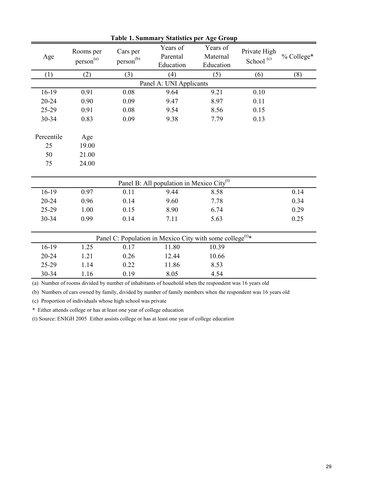| Age        | Rooms per<br>$\mathsf{person}^\mathsf{(a)}$ | Cars per<br>person <sup>(b)</sup> | Years of<br>Parental<br>Education                                                                                             | Years of<br>Maternal<br>Education | Private High<br>School <sup>(c)</sup> | % College* |
|------------|---------------------------------------------|-----------------------------------|-------------------------------------------------------------------------------------------------------------------------------|-----------------------------------|---------------------------------------|------------|
| (1)        | (2)                                         | (3)                               | (4)                                                                                                                           | (5)                               | (6)                                   | (8)        |
|            |                                             |                                   | Panel A: UNI Applicants                                                                                                       |                                   |                                       |            |
| 16-19      | 0.91                                        | 0.08                              | 9.64                                                                                                                          | 9.21                              | 0.10                                  |            |
| 20-24      | 0.90                                        | 0.09                              | 9.47                                                                                                                          | 8.97                              | 0.11                                  |            |
| 25-29      | 0.91                                        | 0.08                              | 9.54                                                                                                                          | 8.56                              | 0.15                                  |            |
| 30-34      | 0.83                                        | 0.09                              | 9.38                                                                                                                          | 7.79                              | 0.13                                  |            |
|            |                                             |                                   |                                                                                                                               |                                   |                                       |            |
| Percentile | Age                                         |                                   |                                                                                                                               |                                   |                                       |            |
| 25         | 19.00                                       |                                   |                                                                                                                               |                                   |                                       |            |
| 50         | 21.00                                       |                                   |                                                                                                                               |                                   |                                       |            |
| 75         | 24.00                                       |                                   |                                                                                                                               |                                   |                                       |            |
|            |                                             |                                   |                                                                                                                               |                                   |                                       |            |
|            |                                             |                                   |                                                                                                                               |                                   |                                       |            |
| 16-19      | 0.97                                        | 0.11                              | 9.44                                                                                                                          | 8.58                              |                                       | 0.14       |
| 20-24      | 0.96                                        | 0.14                              | 9.60                                                                                                                          | 7.78                              |                                       | 0.34       |
| 25-29      | 1.00                                        | 0.15                              | 8.90                                                                                                                          | 6.74                              |                                       | 0.29       |
| 30-34      | 0.99                                        | 0.14                              | 7.11                                                                                                                          | 5.63                              |                                       | 0.25       |
|            |                                             |                                   |                                                                                                                               |                                   |                                       |            |
|            |                                             |                                   |                                                                                                                               |                                   |                                       |            |
| 16-19      | 1.25                                        | 0.17                              | 11.80                                                                                                                         | 10.39                             |                                       |            |
| 20-24      | 1.21                                        | 0.26                              | 12.44                                                                                                                         | 10.66                             |                                       |            |
| 25-29      | 1.14                                        | 0.22                              | 11.86                                                                                                                         | 8.53                              |                                       |            |
| 30-34      | 1.16                                        | 0.19                              | 8.05                                                                                                                          | 4.54                              |                                       |            |
|            |                                             |                                   | Panel B: All population in Mexico City <sup>(t)</sup><br>Panel C: Population in Mexico City with some college <sup>(t)*</sup> |                                   |                                       |            |

| Table 1. Summary Statistics per Age Group |  |  |  |
|-------------------------------------------|--|--|--|
|-------------------------------------------|--|--|--|

(a) Number of rooms divided by number of inhabitants of houehold when the respondent was 16 years old

(b) Numbers of cars owned by family, divided by number of family members when the respondent was 16 years old

(c) Proportion of individuals whose high school was private

\* Either attends college or has at least one year of college education

(t) Source: ENIGH 2005 Either assists college or has at least one year of college education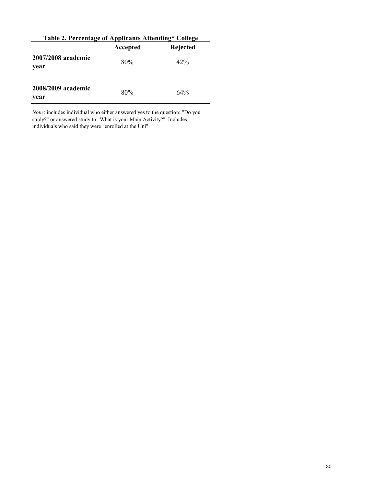| Table 2. Percentage of Applicants Attending* College |          |          |  |  |  |  |
|------------------------------------------------------|----------|----------|--|--|--|--|
|                                                      | Accepted | Rejected |  |  |  |  |
| 2007/2008 academic<br>year                           | 80%      | 42%      |  |  |  |  |
| 2008/2009 academic<br>year                           | 80%      | 64%      |  |  |  |  |

*Note* : includes individual who either answered yes to the question: "Do you study?" or answered study to "What is your Main Activity?". Includes individuals who said they were "enrolled at the Uni"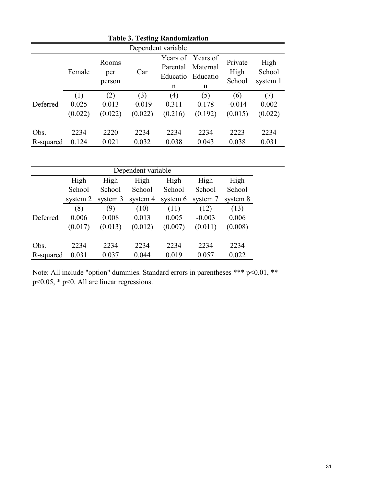| <b>Table 3. Testing Randomization</b> |                    |                        |          |               |                                                         |                           |                            |  |  |  |  |  |
|---------------------------------------|--------------------|------------------------|----------|---------------|---------------------------------------------------------|---------------------------|----------------------------|--|--|--|--|--|
|                                       | Dependent variable |                        |          |               |                                                         |                           |                            |  |  |  |  |  |
|                                       | Female             | Rooms<br>per<br>person | Car      | Parental<br>n | Years of Years of<br>Maternal<br>Educatio Educatio<br>n | Private<br>High<br>School | High<br>School<br>system 1 |  |  |  |  |  |
|                                       | (1)                | (2)                    | (3)      | (4)           | (5)                                                     | (6)                       | (7)                        |  |  |  |  |  |
| Deferred                              | 0.025              | 0.013                  | $-0.019$ | 0.311         | 0.178                                                   | $-0.014$                  | 0.002                      |  |  |  |  |  |
|                                       | (0.022)            | (0.022)                | (0.022)  | (0.216)       | (0.192)                                                 | (0.015)                   | (0.022)                    |  |  |  |  |  |
| Obs.                                  | 2234               | 2220                   | 2234     | 2234          | 2234                                                    | 2223                      | 2234                       |  |  |  |  |  |
| R-squared                             | 0.124              | 0.021                  | 0.032    | 0.038         | 0.043                                                   | 0.038                     | 0.031                      |  |  |  |  |  |

|           | Dependent variable |          |          |          |          |          |  |  |  |  |
|-----------|--------------------|----------|----------|----------|----------|----------|--|--|--|--|
|           | High               | High     | High     | High     | High     | High     |  |  |  |  |
|           | School             | School   | School   | School   | School   | School   |  |  |  |  |
|           | system 2           | system 3 | system 4 | system 6 | system 7 | system 8 |  |  |  |  |
|           | (8)                | (9)      | (10)     | (11)     | (12)     | (13)     |  |  |  |  |
| Deferred  | 0.006              | 0.008    | 0.013    | 0.005    | $-0.003$ | 0.006    |  |  |  |  |
|           | (0.017)            | (0.013)  | (0.012)  | (0.007)  | (0.011)  | (0.008)  |  |  |  |  |
|           |                    |          |          |          |          |          |  |  |  |  |
| Obs.      | 2234               | 2234     | 2234     | 2234     | 2234     | 2234     |  |  |  |  |
| R-squared | 0.031              | 0.037    | 0.044    | 0.019    | 0.057    | 0.022    |  |  |  |  |

Note: All include "option" dummies. Standard errors in parentheses \*\*\* p<0.01, \*\* p<0.05, \* p<0. All are linear regressions.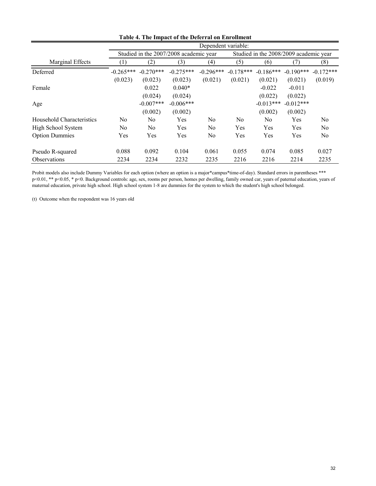|                           | Dependent variable: |                |                                        |                |                |             |                                        |             |  |
|---------------------------|---------------------|----------------|----------------------------------------|----------------|----------------|-------------|----------------------------------------|-------------|--|
|                           |                     |                | Studied in the 2007/2008 academic year |                |                |             | Studied in the 2008/2009 academic year |             |  |
| <b>Marginal Effects</b>   | (1)                 | (2)            | (3)                                    | (4)            | (5)            | (6)         | (7)                                    | (8)         |  |
| Deferred                  | $-0.265***$         | $-0.270***$    | $-0.275***$                            | $-0.296***$    | $-0.178***$    | $-0.186***$ | $-0.190***$                            | $-0.172***$ |  |
|                           | (0.023)             | (0.023)        | (0.023)                                | (0.021)        | (0.021)        | (0.021)     | (0.021)                                | (0.019)     |  |
| Female                    |                     | 0.022          | $0.040*$                               |                |                | $-0.022$    | $-0.011$                               |             |  |
|                           |                     | (0.024)        | (0.024)                                |                |                | (0.022)     | (0.022)                                |             |  |
| Age                       |                     | $-0.007***$    | $-0.006***$                            |                |                | $-0.013***$ | $-0.012***$                            |             |  |
|                           |                     | (0.002)        | (0.002)                                |                |                | (0.002)     | (0.002)                                |             |  |
| Household Characteristics | No                  | N <sub>0</sub> | Yes                                    | N <sub>0</sub> | N <sub>0</sub> | No          | Yes                                    | No.         |  |
| High School System        | No                  | N <sub>0</sub> | Yes                                    | N <sub>0</sub> | Yes            | Yes         | Yes                                    | No          |  |
| <b>Option Dummies</b>     | Yes                 | Yes            | Yes                                    | N <sub>0</sub> | Yes            | Yes         | Yes                                    | No          |  |
| Pseudo R-squared          | 0.088               | 0.092          | 0.104                                  | 0.061          | 0.055          | 0.074       | 0.085                                  | 0.027       |  |
| Observations              | 2234                | 2234           | 2232                                   | 2235           | 2216           | 2216        | 2214                                   | 2235        |  |

|  |  |  | Table 4. The Impact of the Deferral on Enrollment |  |  |
|--|--|--|---------------------------------------------------|--|--|
|--|--|--|---------------------------------------------------|--|--|

Probit models also include Dummy Variables for each option (where an option is a major\*campus\*time-of-day). Standard errors in parentheses \*\*\* p<0.01, \*\* p<0.05, \* p<0. Background controls: age, sex, rooms per person, homes per dwelling, family owned car, years of paternal education, years of maternal education, private high school. High school system 1-8 are dummies for the system to which the student's high school belonged.

(t) Outcome when the respondent was 16 years old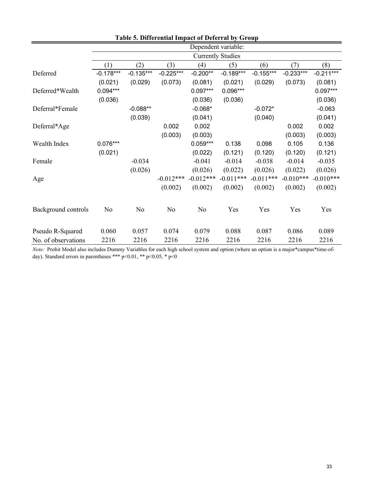|                     | Dependent variable:      |                |             |                |             |             |             |             |  |  |
|---------------------|--------------------------|----------------|-------------|----------------|-------------|-------------|-------------|-------------|--|--|
|                     | <b>Currently Studies</b> |                |             |                |             |             |             |             |  |  |
|                     | (1)                      | (2)            | (3)         | (4)            | (5)         | (6)         | (7)         | (8)         |  |  |
| Deferred            | $-0.178***$              | $-0.135***$    | $-0.225***$ | $-0.200**$     | $-0.189***$ | $-0.155***$ | $-0.233***$ | $-0.211***$ |  |  |
|                     | (0.021)                  | (0.029)        | (0.073)     | (0.081)        | (0.021)     | (0.029)     | (0.073)     | (0.081)     |  |  |
| Deferred*Wealth     | $0.094***$               |                |             | $0.097***$     | $0.096***$  |             |             | $0.097***$  |  |  |
|                     | (0.036)                  |                |             | (0.036)        | (0.036)     |             |             | (0.036)     |  |  |
| Deferral*Female     |                          | $-0.088**$     |             | $-0.068*$      |             | $-0.072*$   |             | $-0.063$    |  |  |
|                     |                          | (0.039)        |             | (0.041)        |             | (0.040)     |             | (0.041)     |  |  |
| Deferral*Age        |                          |                | 0.002       | 0.002          |             |             | 0.002       | 0.002       |  |  |
|                     |                          |                | (0.003)     | (0.003)        |             |             | (0.003)     | (0.003)     |  |  |
| Wealth Index        | $0.076***$               |                |             | $0.059***$     | 0.138       | 0.098       | 0.105       | 0.136       |  |  |
|                     | (0.021)                  |                |             | (0.022)        | (0.121)     | (0.120)     | (0.120)     | (0.121)     |  |  |
| Female              |                          | $-0.034$       |             | $-0.041$       | $-0.014$    | $-0.038$    | $-0.014$    | $-0.035$    |  |  |
|                     |                          | (0.026)        |             | (0.026)        | (0.022)     | (0.026)     | (0.022)     | (0.026)     |  |  |
| Age                 |                          |                | $-0.012***$ | $-0.012***$    | $-0.011***$ | $-0.011***$ | $-0.010***$ | $-0.010***$ |  |  |
|                     |                          |                | (0.002)     | (0.002)        | (0.002)     | (0.002)     | (0.002)     | (0.002)     |  |  |
| Background controls | N <sub>0</sub>           | N <sub>0</sub> | No          | N <sub>0</sub> | Yes         | Yes         | Yes         | Yes         |  |  |
| Pseudo R-Squared    | 0.060                    | 0.057          | 0.074       | 0.079          | 0.088       | 0.087       | 0.086       | 0.089       |  |  |
| No. of observations | 2216                     | 2216           | 2216        | 2216           | 2216        | 2216        | 2216        | 2216        |  |  |

| Table 5. Differential Impact of Deferral by Group |  |  |
|---------------------------------------------------|--|--|
|---------------------------------------------------|--|--|

*Note:* Probit Model also includes Dummy Variables for each high school system and option (where an option is a major\*campus\*time-ofday). Standard errors in parentheses \*\*\*  $p<0.01$ , \*\*  $p<0.05$ , \*  $p<0$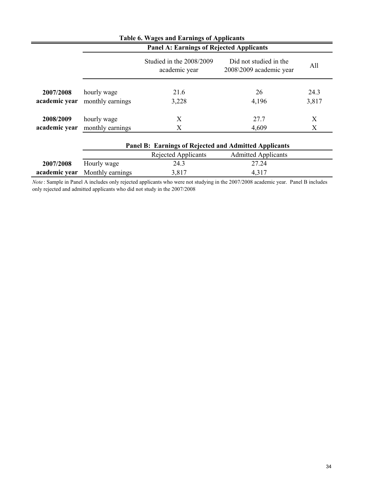|                            |                                 | <b>Table 6. Wages and Earnings of Applicants</b>             |                                                   |               |
|----------------------------|---------------------------------|--------------------------------------------------------------|---------------------------------------------------|---------------|
|                            |                                 | <b>Panel A: Earnings of Rejected Applicants</b>              |                                                   |               |
|                            |                                 | Studied in the 2008/2009<br>academic year                    | Did not studied in the<br>2008\2009 academic year | All           |
| 2007/2008<br>academic year | hourly wage<br>monthly earnings | 21.6<br>3,228                                                | 26<br>4,196                                       | 24.3<br>3,817 |
| 2008/2009<br>academic year | hourly wage<br>monthly earnings | X<br>X                                                       | 27.7<br>4,609                                     | X<br>X        |
|                            |                                 | <b>Panel B: Earnings of Rejected and Admitted Applicants</b> |                                                   |               |
| 2007/2008                  | Hourly wage                     | Rejected Applicants<br>24.3                                  | <b>Admitted Applicants</b><br>27.24               |               |

| 2007/2008 | Hourly wage                                                              | 24.3  | 27 24                                                                                                                                    |  |
|-----------|--------------------------------------------------------------------------|-------|------------------------------------------------------------------------------------------------------------------------------------------|--|
|           | <b>academic year</b> Monthly earnings                                    | 3,817 | 4317                                                                                                                                     |  |
|           |                                                                          |       | <i>Note</i> : Sample in Panel A includes only rejected applicants who were not studying in the 2007/2008 academic year. Panel B includes |  |
|           | only rejected and admitted applicants who did not study in the 2007/2008 |       |                                                                                                                                          |  |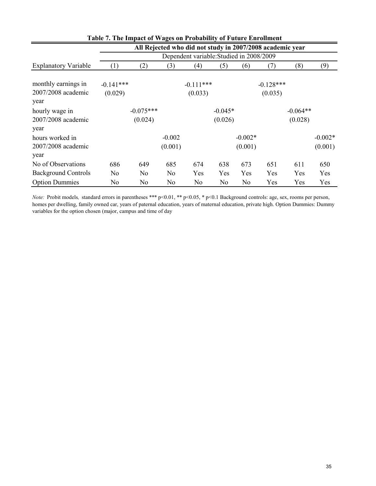|                                          | raoic // rue impact or <i>wages</i> on rrobability or ratare Em omneme |             |          |             |                |           |             |            |           |  |
|------------------------------------------|------------------------------------------------------------------------|-------------|----------|-------------|----------------|-----------|-------------|------------|-----------|--|
|                                          | All Rejected who did not study in 2007/2008 academic year              |             |          |             |                |           |             |            |           |  |
| Dependent variable: Studied in 2008/2009 |                                                                        |             |          |             |                |           |             |            |           |  |
| <b>Explanatory Variable</b>              | (1)                                                                    | (2)         | (3)      | (4)         | (5)            | (6)       | (7)         | (8)        | (9)       |  |
|                                          |                                                                        |             |          |             |                |           |             |            |           |  |
| monthly earnings in                      | $-0.141***$                                                            |             |          | $-0.111***$ |                |           | $-0.128***$ |            |           |  |
| 2007/2008 academic                       | (0.029)                                                                |             |          | (0.033)     |                |           | (0.035)     |            |           |  |
| year                                     |                                                                        |             |          |             |                |           |             |            |           |  |
| hourly wage in                           |                                                                        | $-0.075***$ |          |             | $-0.045*$      |           |             | $-0.064**$ |           |  |
| 2007/2008 academic                       |                                                                        | (0.024)     |          |             | (0.026)        |           |             | (0.028)    |           |  |
| year                                     |                                                                        |             |          |             |                |           |             |            |           |  |
| hours worked in                          |                                                                        |             | $-0.002$ |             |                | $-0.002*$ |             |            | $-0.002*$ |  |
| 2007/2008 academic                       |                                                                        |             | (0.001)  |             |                | (0.001)   |             |            | (0.001)   |  |
| year                                     |                                                                        |             |          |             |                |           |             |            |           |  |
| No of Observations                       | 686                                                                    | 649         | 685      | 674         | 638            | 673       | 651         | 611        | 650       |  |
| <b>Background Controls</b>               | No                                                                     | No          | No       | Yes         | Yes            | Yes       | Yes         | Yes        | Yes       |  |
| <b>Option Dummies</b>                    | No                                                                     | No          | No       | No          | N <sub>0</sub> | No        | Yes         | Yes        | Yes       |  |

## **Table 7. The Impact of Wages on Probability of Future Enrollment**

*Note:* Probit models*,* standard errors in parentheses \*\*\* p<0.01, \*\* p<0.05, \* p<0.1 Background controls: age, sex, rooms per person, homes per dwelling, family owned car, years of paternal education, years of maternal education, private high. Option Dummies: Dummy variables for the option chosen (major, campus and time of day